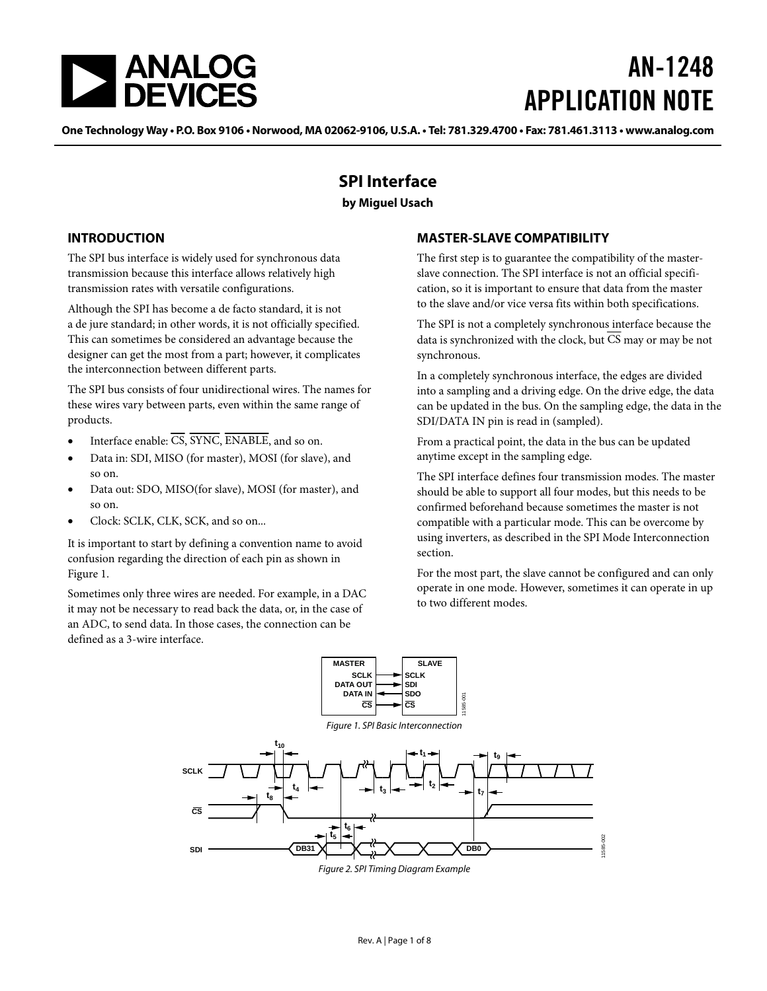<span id="page-0-2"></span>

# AN-1248 APPLICATION NOTE

One Technology Way . P.O. Box 9106 . Norwood, MA 02062-9106, U.S.A. . Tel: 781.329.4700 . Fax: 781.461.3113 . www.analog.com

## **SPI Interface**

## **by Miguel Usach**

### <span id="page-0-0"></span>**INTRODUCTION**

The SPI bus interface is widely used for synchronous data transmission because this interface allows relatively high transmission rates with versatile configurations.

Although the SPI has become a de facto standard, it is not a de jure standard; in other words, it is not officially specified. This can sometimes be considered an advantage because the designer can get the most from a part; however, it complicates the interconnection between different parts.

The SPI bus consists of four unidirectional wires. The names for these wires vary between parts, even within the same range of products.

- Interface enable: CS, SYNC, ENABLE, and so on.
- Data in: SDI, MISO (for master), MOSI (for slave), and so on.
- Data out: SDO, MISO(for slave), MOSI (for master), and so on.
- Clock: SCLK, CLK, SCK, and so on...

It is important to start by defining a convention name to avoid confusion regarding the direction of each pin as shown in Figure 1.

Sometimes only three wires are needed. For example, in a DAC it may not be necessary to read back the data, or, in the case of an ADC, to send data. In those cases, the connection can be defined as a 3-wire interface.

## <span id="page-0-1"></span>**MASTER-SLAVE COMPATIBILITY**

The first step is to guarantee the compatibility of the masterslave connection. The SPI interface is not an official specification, so it is important to ensure that data from the master to the slave and/or vice versa fits within both specifications.

The SPI is not a completely synchronous interface because the data is synchronized with the clock, but CS may or may be not synchronous.

In a completely synchronous interface, the edges are divided into a sampling and a driving edge. On the drive edge, the data can be updated in the bus. On the sampling edge, the data in the SDI/DATA IN pin is read in (sampled).

From a practical point, the data in the bus can be updated anytime except in the sampling edge.

The SPI interface defines four transmission modes. The master should be able to support all four modes, but this needs to be confirmed beforehand because sometimes the master is not compatible with a particular mode. This can be overcome by using inverters, as described in the SPI Mode Interconnection section.

For the most part, the slave cannot be configured and can only operate in one mode. However, sometimes it can operate in up to two different modes.



Figure 2. SPI Timing Diagram Example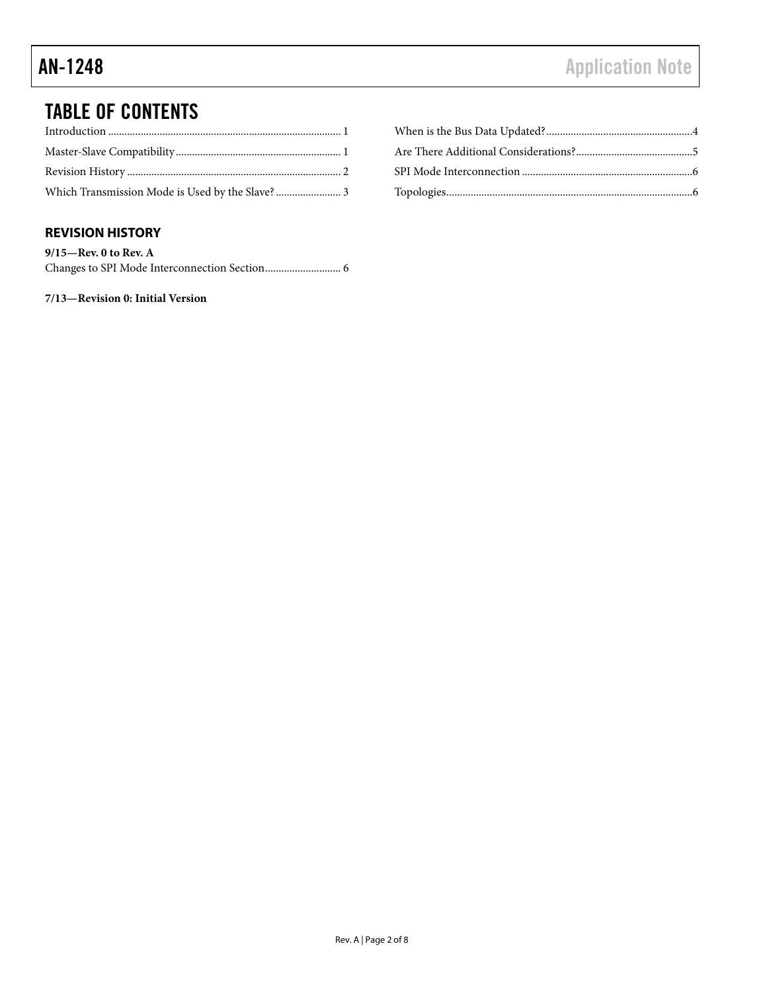## TABLE OF CONTENTS

## <span id="page-1-0"></span>**REVISION HISTORY**

| $9/15$ —Rev. 0 to Rev. A |  |
|--------------------------|--|
|                          |  |

**7/13—Revision 0: Initial Version**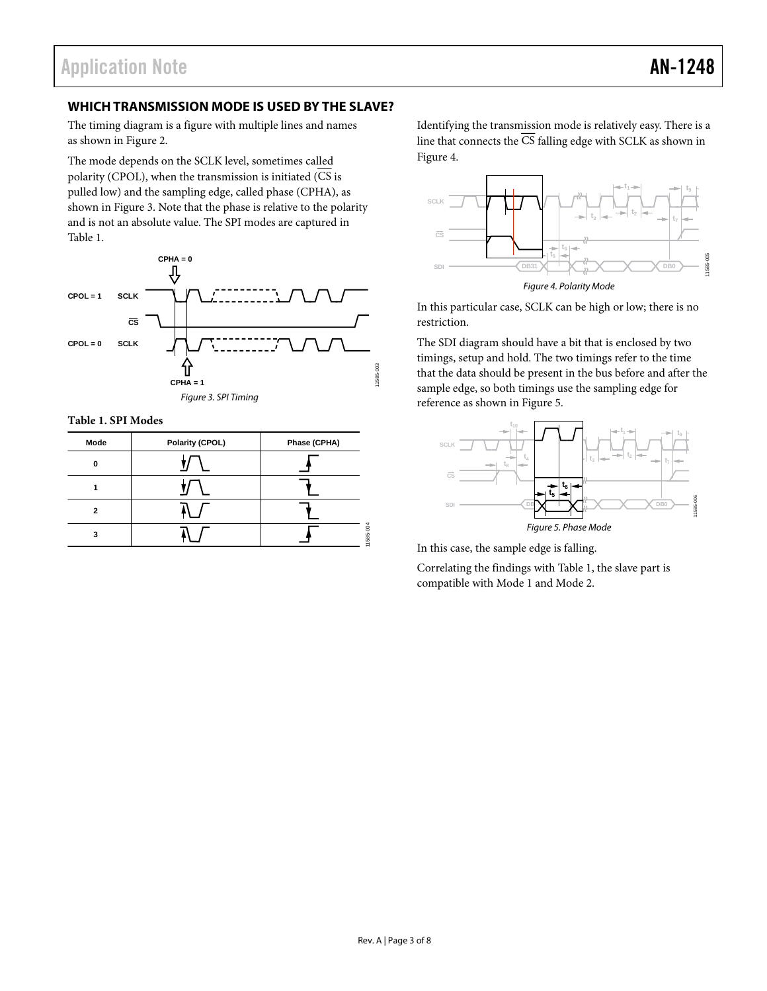## <span id="page-2-0"></span>**WHICH TRANSMISSION MODE IS USED BY THE SLAVE?**

The timing diagram is a figure with multiple lines and names as shown in [Figure 2.](#page-0-2) 

The mode depends on the SCLK level, sometimes called polarity (CPOL), when the transmission is initiated  $\overline{\text{CS}}$  is pulled low) and the sampling edge, called phase (CPHA), as shown in Figure 3. Note that the phase is relative to the polarity and is not an absolute value. The SPI modes are captured in [Table 1.](#page-2-1) 



**Table 1. SPI Modes** 

| Mode | Polarity (CPOL) | Phase (CPHA) |
|------|-----------------|--------------|
| n    |                 |              |
|      |                 |              |
| 2    |                 |              |
| 3    |                 | 11585        |

Identifying the transmission mode is relatively easy. There is a line that connects the  $\overline{CS}$  falling edge with SCLK as shown in Figure 4.



Figure 4. Polarity Mode

In this particular case, SCLK can be high or low; there is no restriction.

The SDI diagram should have a bit that is enclosed by two timings, setup and hold. The two timings refer to the time that the data should be present in the bus before and after the sample edge, so both timings use the sampling edge for reference as shown in Figure 5.

<span id="page-2-1"></span>

In this case, the sample edge is falling.

Correlating the findings wit[h Table 1, t](#page-2-1)he slave part is compatible with Mode 1 and Mode 2.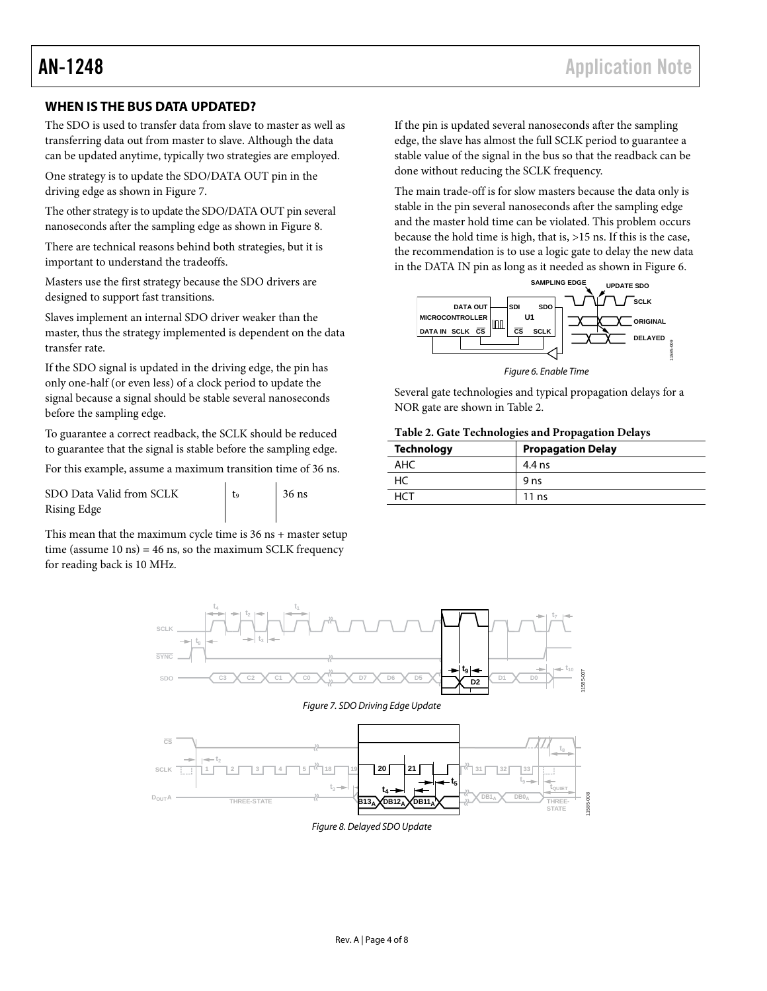## <span id="page-3-0"></span>**WHEN IS THE BUS DATA UPDATED?**

The SDO is used to transfer data from slave to master as well as transferring data out from master to slave. Although the data can be updated anytime, typically two strategies are employed.

One strategy is to update the SDO/DATA OUT pin in the driving edge as shown in [Figure 7.](#page-3-1)

The other strategy is to update the SDO/DATA OUT pin several nanoseconds after the sampling edge as shown i[n Figure](#page-3-2) 8.

There are technical reasons behind both strategies, but it is important to understand the tradeoffs.

Masters use the first strategy because the SDO drivers are designed to support fast transitions.

Slaves implement an internal SDO driver weaker than the master, thus the strategy implemented is dependent on the data transfer rate.

If the SDO signal is updated in the driving edge, the pin has only one-half (or even less) of a clock period to update the signal because a signal should be stable several nanoseconds before the sampling edge.

To guarantee a correct readback, the SCLK should be reduced to guarantee that the signal is stable before the sampling edge.

For this example, assume a maximum transition time of 36 ns.

SDO Data Valid from SCLK Rising Edge

 $t<sub>9</sub>$  36 ns

This mean that the maximum cycle time is 36 ns + master setup time (assume 10 ns) = 46 ns, so the maximum SCLK frequency for reading back is 10 MHz.

If the pin is updated several nanoseconds after the sampling edge, the slave has almost the full SCLK period to guarantee a stable value of the signal in the bus so that the readback can be done without reducing the SCLK frequency.

The main trade-off is for slow masters because the data only is stable in the pin several nanoseconds after the sampling edge and the master hold time can be violated. This problem occurs because the hold time is high, that is, >15 ns. If this is the case, the recommendation is to use a logic gate to delay the new data in the DATA IN pin as long as it needed as shown in [Figure 6.](#page-3-3)



*Figure 6. Enable Time* 

<span id="page-3-3"></span>Several gate technologies and typical propagation delays for a NOR gate are shown in [Table 2.](#page-3-4)

#### <span id="page-3-4"></span>**Table 2. Gate Technologies and Propagation Delays**

| <b>Technology</b> | <b>Propagation Delay</b> |  |  |
|-------------------|--------------------------|--|--|
| AHC               | 4.4 ns                   |  |  |
| HC                | 9 <sub>ns</sub>          |  |  |
| HC 1              | 11ns                     |  |  |

<span id="page-3-2"></span><span id="page-3-1"></span>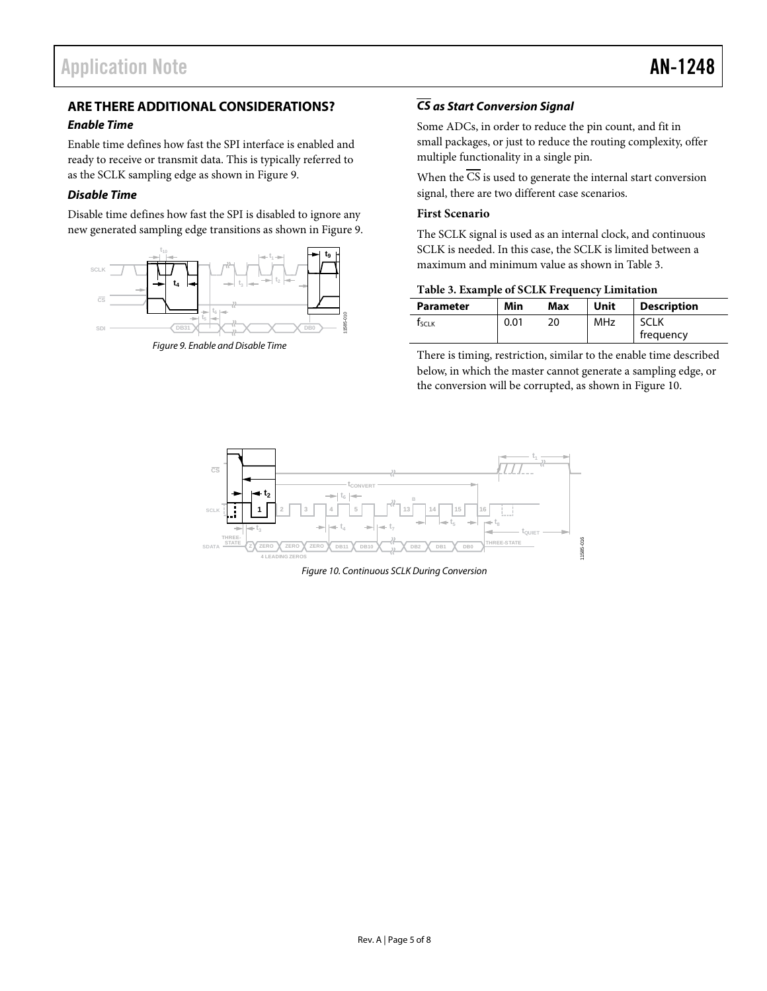## <span id="page-4-0"></span>**ARE THERE ADDITIONAL CONSIDERATIONS?**

#### *Enable Time*

Enable time defines how fast the SPI interface is enabled and ready to receive or transmit data. This is typically referred to as the SCLK sampling edge as shown i[n Figure 9.](#page-4-1) 

#### *Disable Time*

Disable time defines how fast the SPI is disabled to ignore any new generated sampling edge transitions as shown in [Figure 9.](#page-4-1)



<span id="page-4-1"></span>*Figure 9. Enable and Disable Time*

## *CS as Start Conversion Signal*

Some ADCs, in order to reduce the pin count, and fit in small packages, or just to reduce the routing complexity, offer multiple functionality in a single pin.

When the  $\overline{CS}$  is used to generate the internal start conversion signal, there are two different case scenarios.

#### **First Scenario**

The SCLK signal is used as an internal clock, and continuous SCLK is needed. In this case, the SCLK is limited between a maximum and minimum value as shown i[n Table 3.](#page-4-2) 

#### <span id="page-4-2"></span>**Table 3. Example of SCLK Frequency Limitation**

| <b>Parameter</b> | Min  | Max | Unit | <b>Description</b> |
|------------------|------|-----|------|--------------------|
| Tsclk            | 0.01 |     | MHz  | <b>SCLK</b>        |
|                  |      |     |      | frequency          |

There is timing, restriction, similar to the enable time described below, in which the master cannot generate a sampling edge, or the conversion will be corrupted, as shown in [Figure 10.](#page-4-3)

<span id="page-4-3"></span>

*Figure 10. Continuous SCLK During Conversion*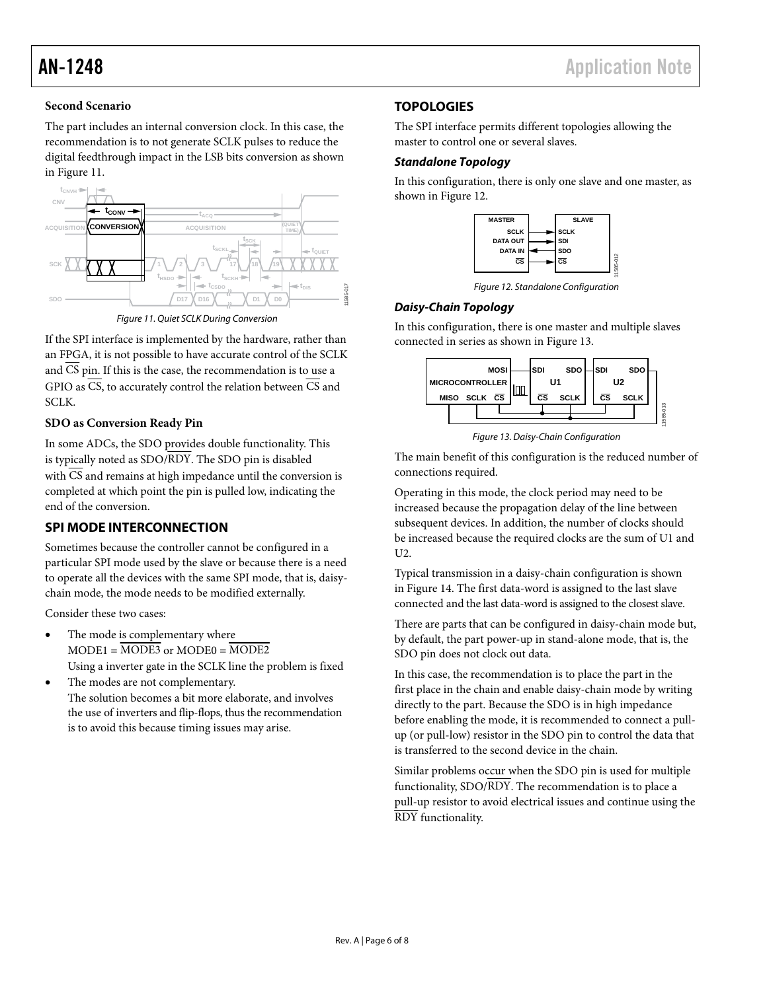11585-012

#### **Second Scenario**

The part includes an internal conversion clock. In this case, the recommendation is to not generate SCLK pulses to reduce the digital feedthrough impact in the LSB bits conversion as shown in [Figure 11.](#page-5-2) 



Figure 11. Quiet SCLK During Conversion

<span id="page-5-2"></span>If the SPI interface is implemented by the hardware, rather than an FPGA, it is not possible to have accurate control of the SCLK and CS pin. If this is the case, the recommendation is to use a GPIO as  $\overline{CS}$ , to accurately control the relation between  $\overline{CS}$  and SCLK.

#### **SDO as Conversion Ready Pin**

In some ADCs, the SDO provides double functionality. This is typically noted as SDO/RDY. The SDO pin is disabled with  $\overline{\text{CS}}$  and remains at high impedance until the conversion is completed at which point the pin is pulled low, indicating the end of the conversion.

## <span id="page-5-0"></span>**SPI MODE INTERCONNECTION**

Sometimes because the controller cannot be configured in a particular SPI mode used by the slave or because there is a need to operate all the devices with the same SPI mode, that is, daisychain mode, the mode needs to be modified externally.

Consider these two cases:

- The mode is complementary where  $MODE1 = \overline{MODE3}$  or  $MODE0 = \overline{MODE2}$ Using a inverter gate in the SCLK line the problem is fixed
- The modes are not complementary. The solution becomes a bit more elaborate, and involves the use of inverters and flip-flops, thus the recommendation is to avoid this because timing issues may arise.

## <span id="page-5-1"></span>**TOPOLOGIES**

The SPI interface permits different topologies allowing the master to control one or several slaves.

#### **Standalone Topology**

In this configuration, there is only one slave and one master, as shown in [Figure 12.](#page-5-3) 



Figure 12. Standalone Configuration

#### <span id="page-5-3"></span>**Daisy-Chain Topology**

In this configuration, there is one master and multiple slaves connected in series as shown i[n Figure 13.](#page-5-4)



Figure 13. Daisy-Chain Configuration

<span id="page-5-4"></span>The main benefit of this configuration is the reduced number of connections required.

Operating in this mode, the clock period may need to be increased because the propagation delay of the line between subsequent devices. In addition, the number of clocks should be increased because the required clocks are the sum of U1 and U2.

Typical transmission in a daisy-chain configuration is shown in [Figure 14.](#page-6-0) The first data-word is assigned to the last slave connected and the last data-word is assigned to the closest slave.

There are parts that can be configured in daisy-chain mode but, by default, the part power-up in stand-alone mode, that is, the SDO pin does not clock out data.

In this case, the recommendation is to place the part in the first place in the chain and enable daisy-chain mode by writing directly to the part. Because the SDO is in high impedance before enabling the mode, it is recommended to connect a pullup (or pull-low) resistor in the SDO pin to control the data that is transferred to the second device in the chain.

Similar problems occur when the SDO pin is used for multiple functionality, SDO/RDY. The recommendation is to place a pull-up resistor to avoid electrical issues and continue using the RDY functionality.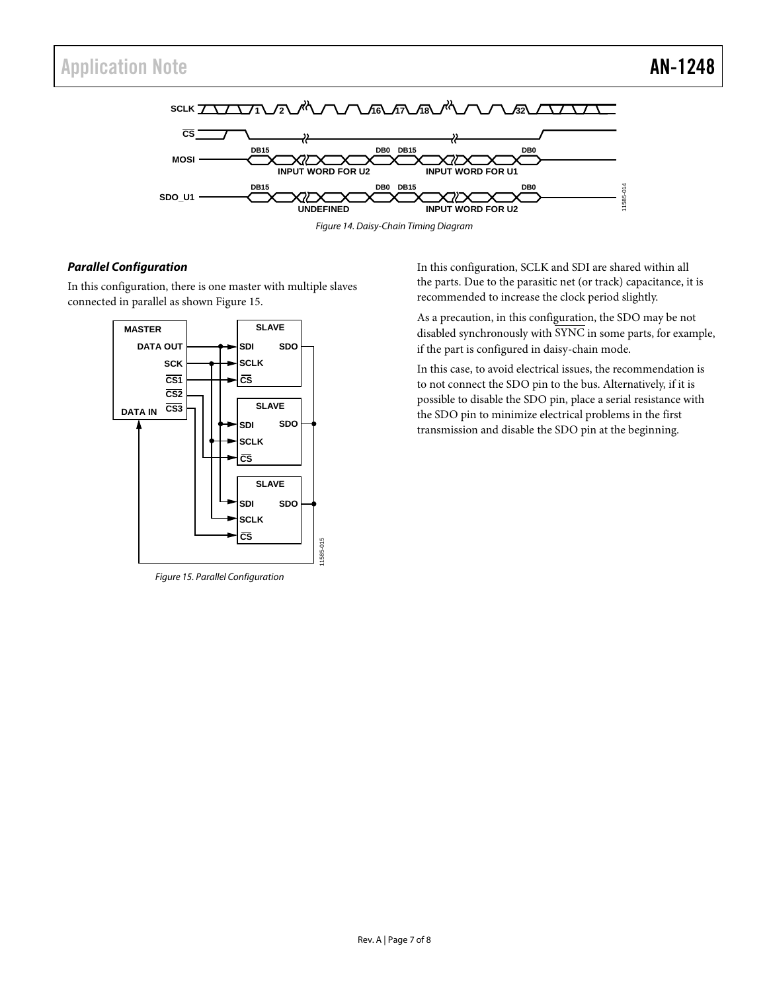



### <span id="page-6-0"></span>*Parallel Configuration*

In this configuration, there is one master with multiple slaves connected in parallel as show[n Figure 15.](#page-6-1)



<span id="page-6-1"></span>*Figure 15. Parallel Configuration*

In this configuration, SCLK and SDI are shared within all the parts. Due to the parasitic net (or track) capacitance, it is recommended to increase the clock period slightly.

As a precaution, in this configuration, the SDO may be not disabled synchronously with SYNC in some parts, for example, if the part is configured in daisy-chain mode.

In this case, to avoid electrical issues, the recommendation is to not connect the SDO pin to the bus. Alternatively, if it is possible to disable the SDO pin, place a serial resistance with the SDO pin to minimize electrical problems in the first transmission and disable the SDO pin at the beginning.